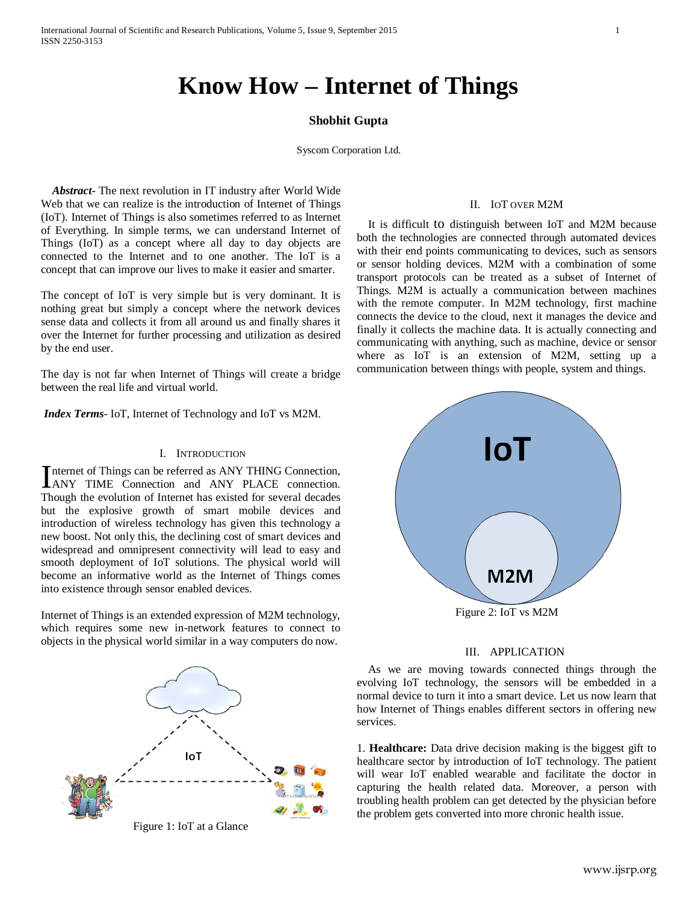# **Know How – Internet of Things**

## **Shobhit Gupta**

Syscom Corporation Ltd.

 *Abstract***-** The next revolution in IT industry after World Wide Web that we can realize is the introduction of Internet of Things (IoT). Internet of Things is also sometimes referred to as Internet of Everything. In simple terms, we can understand Internet of Things (IoT) as a concept where all day to day objects are connected to the Internet and to one another. The IoT is a concept that can improve our lives to make it easier and smarter.

The concept of IoT is very simple but is very dominant. It is nothing great but simply a concept where the network devices sense data and collects it from all around us and finally shares it over the Internet for further processing and utilization as desired by the end user.

The day is not far when Internet of Things will create a bridge between the real life and virtual world.

*Index Terms*- IoT, Internet of Technology and IoT vs M2M.

#### I. INTRODUCTION

nternet of Things can be referred as ANY THING Connection, Internet of Things can be referred as ANY THING Connection,<br>ANY TIME Connection and ANY PLACE connection. Though the evolution of Internet has existed for several decades but the explosive growth of smart mobile devices and introduction of wireless technology has given this technology a new boost. Not only this, the declining cost of smart devices and widespread and omnipresent connectivity will lead to easy and smooth deployment of IoT solutions. The physical world will become an informative world as the Internet of Things comes into existence through sensor enabled devices.

Internet of Things is an extended expression of M2M technology, which requires some new in-network features to connect to objects in the physical world similar in a way computers do now.



Figure 1: IoT at a Glance

#### II. IOT OVER M2M

 It is difficult to distinguish between IoT and M2M because both the technologies are connected through automated devices with their end points communicating to devices, such as sensors or sensor holding devices. M2M with a combination of some transport protocols can be treated as a subset of Internet of Things. M2M is actually a communication between machines with the remote computer. In M2M technology, first machine connects the device to the cloud, next it manages the device and finally it collects the machine data. It is actually connecting and communicating with anything, such as machine, device or sensor where as IoT is an extension of M2M, setting up a communication between things with people, system and things.



#### III. APPLICATION

 As we are moving towards connected things through the evolving IoT technology, the sensors will be embedded in a normal device to turn it into a smart device. Let us now learn that how Internet of Things enables different sectors in offering new services.

1. **Healthcare:** Data drive decision making is the biggest gift to healthcare sector by introduction of IoT technology. The patient will wear IoT enabled wearable and facilitate the doctor in capturing the health related data. Moreover, a person with troubling health problem can get detected by the physician before the problem gets converted into more chronic health issue.